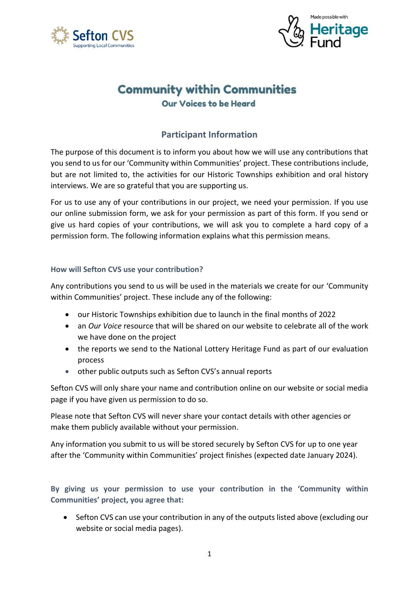



# **Community within Communities Our Voices to be Heard**

## **Participant Information**

The purpose of this document is to inform you about how we will use any contributions that you send to us for our 'Community within Communities' project. These contributions include, but are not limited to, the activities for our Historic Townships exhibition and oral history interviews. We are so grateful that you are supporting us.

For us to use any of your contributions in our project, we need your permission. If you use our online submission form, we ask for your permission as part of this form. If you send or give us hard copies of your contributions, we will ask you to complete a hard copy of a permission form. The following information explains what this permission means.

## **How will Sefton CVS use your contribution?**

Any contributions you send to us will be used in the materials we create for our 'Community within Communities' project. These include any of the following:

- our Historic Townships exhibition due to launch in the final months of 2022
- an *Our Voice* resource that will be shared on our website to celebrate all of the work we have done on the project
- the reports we send to the National Lottery Heritage Fund as part of our evaluation process
- other public outputs such as Sefton CVS's annual reports

Sefton CVS will only share your name and contribution online on our website or social media page if you have given us permission to do so.

Please note that Sefton CVS will never share your contact details with other agencies or make them publicly available without your permission.

Any information you submit to us will be stored securely by Sefton CVS for up to one year after the 'Community within Communities' project finishes (expected date January 2024).

## **By giving us your permission to use your contribution in the 'Community within Communities' project, you agree that:**

• Sefton CVS can use your contribution in any of the outputs listed above (excluding our website or social media pages).